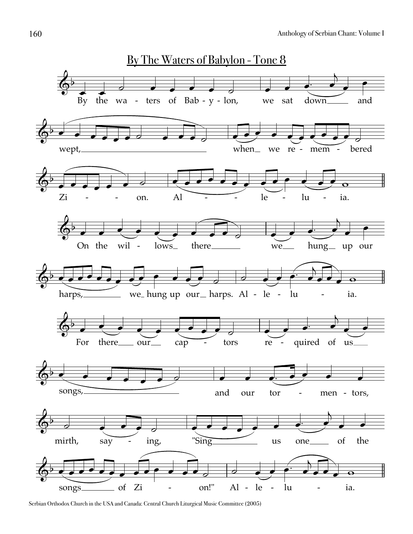

Serbian Orthodox Church in the USA and Canada: Central Church Liturgical Music Committee (2005)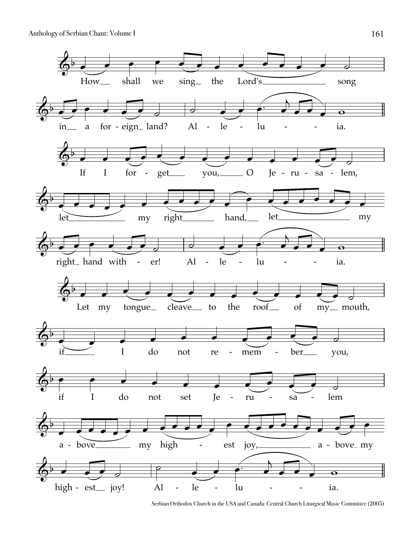Anthology of Serbian Chant: Volume I 161



Serbian Orthodox Church in the USA and Canada: Central Church Liturgical Music Committee (2005)